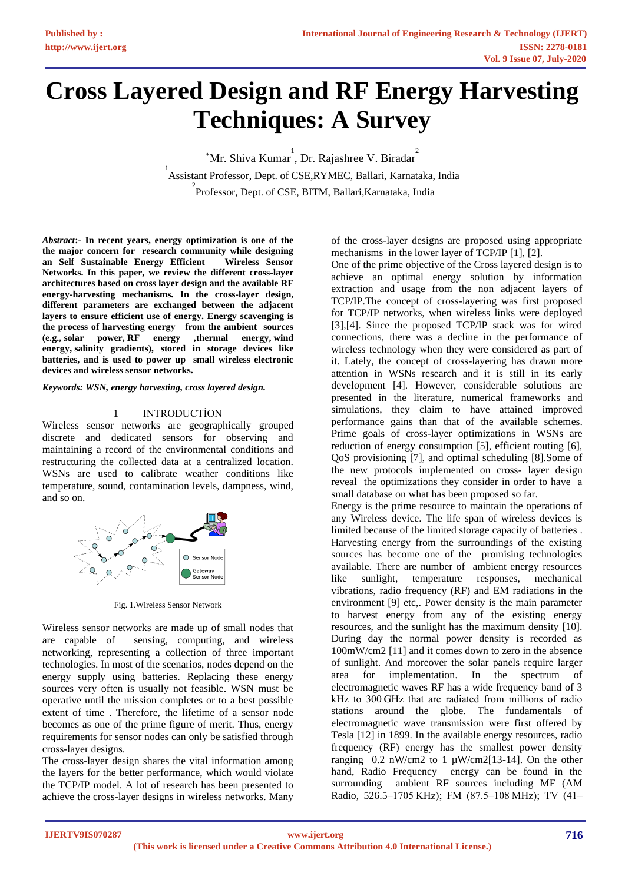# **Cross Layered Design and RF Energy Harvesting Techniques: A Survey**

\*Mr. Shiva Kumar<sup>1</sup>, Dr. Rajashree V. Biradar<sup>2</sup> 1 Assistant Professor, Dept. of CSE,RYMEC, Ballari, Karnataka, India <sup>2</sup><br>Professor, Dept. of CSE, BITM, Ballari,Karnataka, India

*Abstract***:- In recent years, energy optimization is one of the the major concern for research community while designing an Self Sustainable Energy Efficient Wireless Sensor Networks. In this paper, we review the different cross-layer architectures based on cross layer design and the available RF energy-harvesting mechanisms. In the cross-layer design, different parameters are exchanged between the adjacent layers to ensure efficient use of energy. Energy scavenging is the process of harvesting energy from the ambient sources (e.g., [solar power,](https://en.wikipedia.org/wiki/Solar_power) RF energy [,thermal energy,](https://en.wikipedia.org/wiki/Thermal_energy) [wind](https://en.wikipedia.org/wiki/Wind_energy)  [energy,](https://en.wikipedia.org/wiki/Wind_energy) [salinity gradients\)](https://en.wikipedia.org/wiki/Osmotic_power), stored in storage devices like batteries, and is used to power up small wireless electronic devices and wireless [sensor networks.](https://en.wikipedia.org/wiki/Sensor_network)**

*Keywords: WSN, energy harvesting, cross layered design.*

#### 1 INTRODUCTİON

Wireless sensor networks are geographically grouped discrete and dedicated sensors for observing and maintaining a record of the environmental conditions and restructuring the collected data at a centralized location. WSNs are used to calibrate weather conditions like temperature, sound, contamination levels, dampness, wind, and so on.



Fig. 1.Wireless Sensor Network

Wireless sensor networks are made up of small nodes that are capable of sensing, computing, and wireless networking, representing a collection of three important technologies. In most of the scenarios, nodes depend on the energy supply using batteries. Replacing these energy sources very often is usually not feasible. WSN must be operative until the mission completes or to a best possible extent of time . Therefore, the lifetime of a sensor node becomes as one of the prime figure of merit. Thus, energy requirements for sensor nodes can only be satisfied through cross-layer designs.

The cross-layer design shares the vital information among the layers for the better performance, which would violate the TCP/IP model. A lot of research has been presented to achieve the cross-layer designs in wireless networks. Many

of the cross-layer designs are proposed using appropriate mechanisms in the lower layer of TCP/IP [1], [2].

One of the prime objective of the Cross layered design is to achieve an optimal energy solution by information extraction and usage from the non adjacent layers of TCP/IP.The concept of cross-layering was first proposed for TCP/IP networks, when wireless links were deployed [3],[4]. Since the proposed TCP/IP stack was for wired connections, there was a decline in the performance of wireless technology when they were considered as part of it. Lately, the concept of cross-layering has drawn more attention in WSNs research and it is still in its early development [4]. However, considerable solutions are presented in the literature, numerical frameworks and simulations, they claim to have attained improved performance gains than that of the available schemes. Prime goals of cross-layer optimizations in WSNs are reduction of energy consumption [5], efficient routing [6], QoS provisioning [7], and optimal scheduling [8].Some of the new protocols implemented on cross- layer design reveal the optimizations they consider in order to have a small database on what has been proposed so far.

Energy is the prime resource to maintain the operations of any Wireless device. The life span of wireless devices is limited because of the limited storage capacity of batteries . Harvesting energy from the surroundings of the existing sources has become one of the promising technologies available. There are number of ambient energy resources like sunlight, temperature responses, mechanical vibrations, radio frequency (RF) and EM radiations in the environment [9] etc,. Power density is the main parameter to harvest energy from any of the existing energy resources, and the sunlight has the maximum density [10]. During day the normal power density is recorded as 100mW/cm2 [11] and it comes down to zero in the absence of sunlight. And moreover the solar panels require larger area for implementation. In the spectrum of electromagnetic waves RF has a wide frequency band of 3 kHz to 300 GHz that are radiated from millions of radio stations around the globe. The fundamentals of electromagnetic wave transmission were first offered by Tesla [12] in 1899. In the available energy resources, radio frequency (RF) energy has the smallest power density ranging  $0.2$  nW/cm2 to 1  $\mu$ W/cm2[13-14]. On the other hand, Radio Frequency energy can be found in the surrounding ambient RF sources including MF (AM Radio, 526.5–1705 KHz); FM (87.5–108 MHz); TV (41–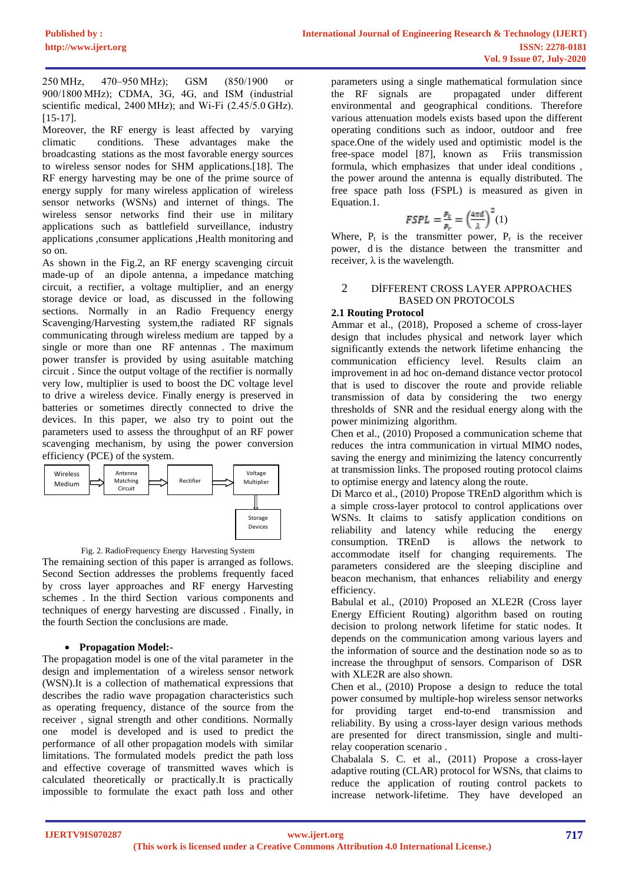250 MHz, 470–950 MHz); GSM (850/1900 or 900/1800 MHz); CDMA, 3G, 4G, and ISM (industrial scientific medical, 2400 MHz); and Wi-Fi (2.45/5.0 GHz). [15-17].

Moreover, the RF energy is least affected by varying climatic conditions. These advantages make the broadcasting stations as the most favorable energy sources to wireless sensor nodes for SHM applications.[18]. The RF energy harvesting may be one of the prime source of energy supply for many wireless application of wireless sensor networks (WSNs) and internet of things. The wireless sensor networks find their use in military applications such as battlefield surveillance, industry applications ,consumer applications ,Health monitoring and so on.

As shown in the Fig.2, an RF energy scavenging circuit made-up of an dipole antenna, a impedance matching circuit, a rectifier, a voltage multiplier, and an energy storage device or load, as discussed in the following sections. Normally in an Radio Frequency energy Scavenging/Harvesting system,the radiated RF signals communicating through wireless medium are tapped by a single or more than one RF antennas . The maximum power transfer is provided by using asuitable matching circuit . Since the output voltage of the rectifier is normally very low, multiplier is used to boost the DC voltage level to drive a wireless device. Finally energy is preserved in batteries or sometimes directly connected to drive the devices. In this paper, we also try to point out the parameters used to assess the throughput of an RF power scavenging mechanism, by using the power conversion efficiency (PCE) of the system.





The remaining section of this paper is arranged as follows. Second Section addresses the problems frequently faced by cross layer approaches and RF energy Harvesting schemes . In the third Section various components and techniques of energy harvesting are discussed . Finally, in the fourth Section the conclusions are made.

# • **Propagation Model:-**

The propagation model is one of the vital parameter in the design and implementation of a wireless sensor network (WSN).It is a collection of mathematical expressions that describes the radio wave propagation characteristics such as operating frequency, distance of the source from the receiver , signal strength and other conditions. Normally one model is developed and is used to predict the performance of all other propagation models with similar limitations. The formulated models predict the path loss and effective coverage of transmitted waves which is calculated theoretically or practically.It is practically impossible to formulate the exact path loss and other

parameters using a single mathematical formulation since the RF signals are propagated under different environmental and geographical conditions. Therefore various attenuation models exists based upon the different operating conditions such as indoor, outdoor and free space.One of the widely used and optimistic model is the free-space model [87], known as Friis transmission formula, which emphasizes that under ideal conditions , the power around the antenna is equally distributed. The free space path loss (FSPL) is measured as given in Equation.1.

$$
FSPL = \frac{P_t}{P_r} = \left(\frac{4\pi d}{\lambda}\right)^2(1)
$$

Where,  $P_t$  is the transmitter power,  $P_r$  is the receiver power, d is the distance between the transmitter and receiver,  $\lambda$  is the wavelength.

#### 2 DİFFERENT CROSS LAYER APPROACHES BASED ON PROTOCOLS

#### **2.1 Routing Protocol**

Ammar et al., (2018), Proposed a scheme of cross-layer design that includes physical and network layer which significantly extends the network lifetime enhancing the communication efficiency level. Results claim an improvement in ad hoc on-demand distance vector protocol that is used to discover the route and provide reliable transmission of data by considering the two energy thresholds of SNR and the residual energy along with the power minimizing algorithm.

Chen et al., (2010) Proposed a communication scheme that reduces the intra communication in virtual MIMO nodes, saving the energy and minimizing the latency concurrently at transmission links. The proposed routing protocol claims to optimise energy and latency along the route.

Di Marco et al., (2010) Propose TREnD algorithm which is a simple cross-layer protocol to control applications over WSNs. It claims to satisfy application conditions on reliability and latency while reducing the energy consumption. TREnD is allows the network to accommodate itself for changing requirements. The parameters considered are the sleeping discipline and beacon mechanism, that enhances reliability and energy efficiency.

Babulal et al., (2010) Proposed an XLE2R (Cross layer Energy Efficient Routing) algorithm based on routing decision to prolong network lifetime for static nodes. It depends on the communication among various layers and the information of source and the destination node so as to increase the throughput of sensors. Comparison of DSR with XLE2R are also shown.

Chen et al., (2010) Propose a design to reduce the total power consumed by multiple-hop wireless sensor networks for providing target end-to-end transmission and reliability. By using a cross-layer design various methods are presented for direct transmission, single and multirelay cooperation scenario .

Chabalala S. C. et al., (2011) Propose a cross-layer adaptive routing (CLAR) protocol for WSNs, that claims to reduce the application of routing control packets to increase network-lifetime. They have developed an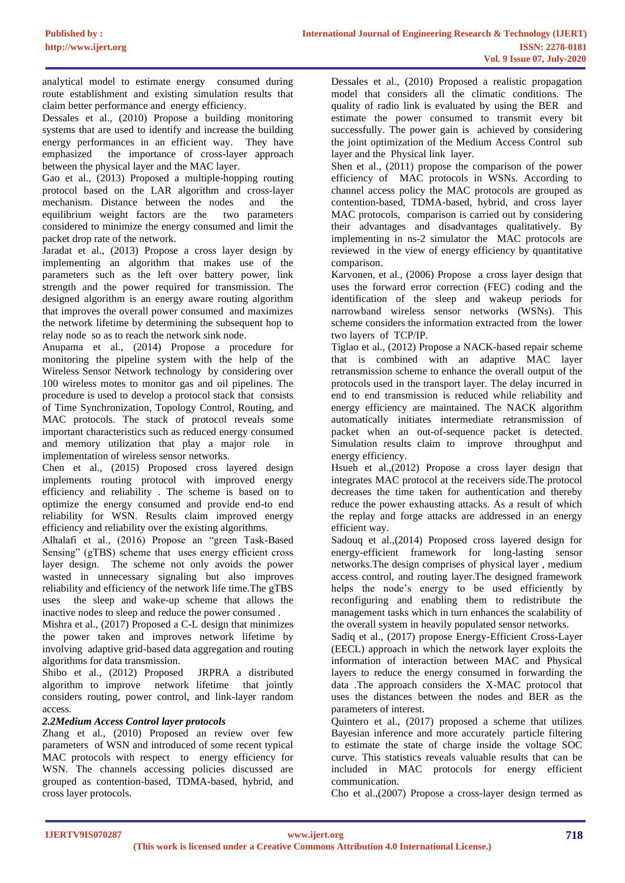analytical model to estimate energy consumed during route establishment and existing simulation results that claim better performance and energy efficiency.

Dessales et al., (2010) Propose a building monitoring systems that are used to identify and increase the building energy performances in an efficient way. They have emphasized the importance of cross-layer approach between the physical layer and the MAC layer.

Gao et al., (2013) Proposed a multiple-hopping routing protocol based on the LAR algorithm and cross-layer mechanism. Distance between the nodes and the equilibrium weight factors are the two parameters considered to minimize the energy consumed and limit the packet drop rate of the network.

Jaradat et al., (2013) Propose a cross layer design by implementing an algorithm that makes use of the parameters such as the left over battery power, link strength and the power required for transmission. The designed algorithm is an energy aware routing algorithm that improves the overall power consumed and maximizes the network lifetime by determining the subsequent hop to relay node so as to reach the network sink node.

Anupama et al., (2014) Propose a procedure for monitoring the pipeline system with the help of the Wireless Sensor Network technology by considering over 100 wireless motes to monitor gas and oil pipelines. The procedure is used to develop a protocol stack that consists of Time Synchronization, Topology Control, Routing, and MAC protocols. The stack of protocol reveals some important characteristics such as reduced energy consumed and memory utilization that play a major role in implementation of wireless sensor networks.

Chen et al., (2015) Proposed cross layered design implements routing protocol with improved energy efficiency and reliability . The scheme is based on to optimize the energy consumed and provide end-to end reliability for WSN. Results claim improved energy efficiency and reliability over the existing algorithms.

Alhalafi et al., (2016) Propose an "green Task-Based Sensing" (gTBS) scheme that uses energy efficient cross layer design. The scheme not only avoids the power wasted in unnecessary signaling but also improves reliability and efficiency of the network life time.The gTBS uses the sleep and wake-up scheme that allows the inactive nodes to sleep and reduce the power consumed .

Mishra et al., (2017) Proposed a C-L design that minimizes the power taken and improves network lifetime by involving adaptive grid-based data aggregation and routing algorithms for data transmission.

Shibo et al., (2012) Proposed JRPRA a distributed algorithm to improve network lifetime that jointly considers routing, power control, and link-layer random access.

# *2.2Medium Access Control layer protocols*

Zhang et al., (2010) Proposed an review over few parameters of WSN and introduced of some recent typical MAC protocols with respect to energy efficiency for WSN. The channels accessing policies discussed are grouped as contention-based, TDMA-based, hybrid, and cross layer protocols.

Dessales et al., (2010) Proposed a realistic propagation model that considers all the climatic conditions. The quality of radio link is evaluated by using the BER and estimate the power consumed to transmit every bit successfully. The power gain is achieved by considering the joint optimization of the Medium Access Control sub layer and the Physical link layer.

Shen et al., (2011) propose the comparison of the power efficiency of MAC protocols in WSNs. According to channel access policy the MAC protocols are grouped as contention-based, TDMA-based, hybrid, and cross layer MAC protocols, comparison is carried out by considering their advantages and disadvantages qualitatively. By implementing in ns-2 simulator the MAC protocols are reviewed in the view of energy efficiency by quantitative comparison.

Karvonen, et al., (2006) Propose a cross layer design that uses the forward error correction (FEC) coding and the identification of the sleep and wakeup periods for narrowband wireless sensor networks (WSNs). This scheme considers the information extracted from the lower two layers of TCP/IP.

Tiglao et al., (2012) Propose a NACK-based repair scheme that is combined with an adaptive MAC layer retransmission scheme to enhance the overall output of the protocols used in the transport layer. The delay incurred in end to end transmission is reduced while reliability and energy efficiency are maintained. The NACK algorithm automatically initiates intermediate retransmission of packet when an out-of-sequence packet is detected. Simulation results claim to improve throughput and energy efficiency.

Hsueh et al.,(2012) Propose a cross layer design that integrates MAC protocol at the receivers side.The protocol decreases the time taken for authentication and thereby reduce the power exhausting attacks. As a result of which the replay and forge attacks are addressed in an energy efficient way.

Sadouq et al.,(2014) Proposed cross layered design for energy-efficient framework for long-lasting sensor networks.The design comprises of physical layer , medium access control, and routing layer.The designed framework helps the node's energy to be used efficiently by reconfiguring and enabling them to redistribute the management tasks which in turn enhances the scalability of the overall system in heavily populated sensor networks.

Sadiq et al., (2017) propose Energy-Efficient Cross-Layer (EECL) approach in which the network layer exploits the information of interaction between MAC and Physical layers to reduce the energy consumed in forwarding the data .The approach considers the X-MAC protocol that uses the distances between the nodes and BER as the parameters of interest.

Quintero et al., (2017) proposed a scheme that utilizes Bayesian inference and more accurately particle filtering to estimate the state of charge inside the voltage SOC curve. This statistics reveals valuable results that can be included in MAC protocols for energy efficient communication.

Cho et al.,(2007) Propose a cross-layer design termed as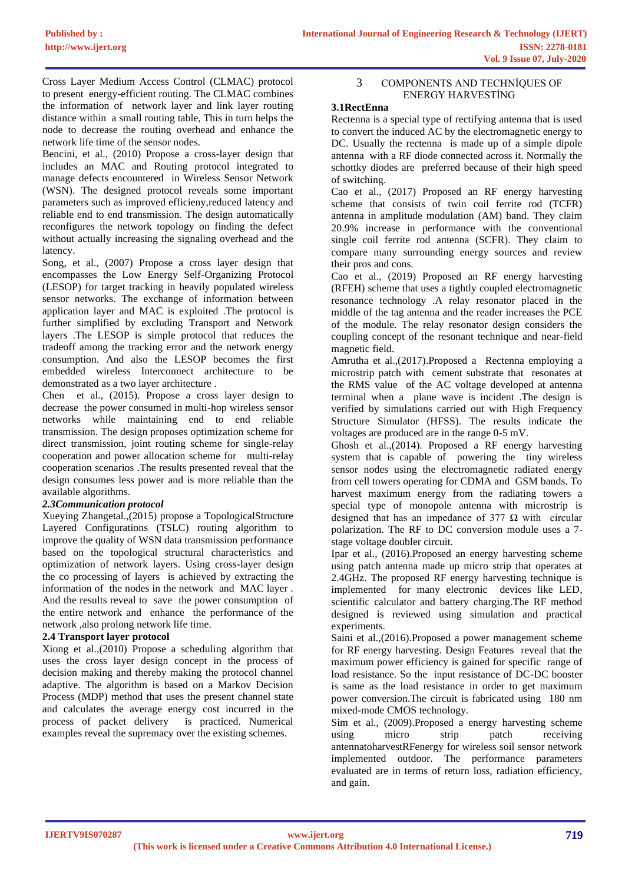Cross Layer Medium Access Control (CLMAC) protocol to present energy-efficient routing. The CLMAC combines the information of network layer and link layer routing distance within a small routing table, This in turn helps the node to decrease the routing overhead and enhance the network life time of the sensor nodes.

Bencini, et al., (2010) Propose a cross-layer design that includes an MAC and Routing protocol integrated to manage defects encountered in Wireless Sensor Network (WSN). The designed protocol reveals some important parameters such as improved efficieny,reduced latency and reliable end to end transmission. The design automatically reconfigures the network topology on finding the defect without actually increasing the signaling overhead and the latency.

Song, et al., (2007) Propose a cross layer design that encompasses the Low Energy Self-Organizing Protocol (LESOP) for target tracking in heavily populated wireless sensor networks. The exchange of information between application layer and MAC is exploited .The protocol is further simplified by excluding Transport and Network layers .The LESOP is simple protocol that reduces the tradeoff among the tracking error and the network energy consumption. And also the LESOP becomes the first embedded wireless Interconnect architecture to be demonstrated as a two layer architecture .

Chen et al., (2015). Propose a cross layer design to decrease the power consumed in multi-hop wireless sensor networks while maintaining end to end reliable transmission. The design proposes optimization scheme for direct transmission, joint routing scheme for single-relay cooperation and power allocation scheme for multi-relay cooperation scenarios .The results presented reveal that the design consumes less power and is more reliable than the available algorithms.

#### *2.3Communication protocol*

Xueying Zhangetal.,(2015) propose a TopologicalStructure Layered Configurations (TSLC) routing algorithm to improve the quality of WSN data transmission performance based on the topological structural characteristics and optimization of network layers. Using cross-layer design the co processing of layers is achieved by extracting the information of the nodes in the network and MAC layer . And the results reveal to save the power consumption of the entire network and enhance the performance of the network ,also prolong network life time.

### **2.4 Transport layer protocol**

Xiong et al.,(2010) Propose a scheduling algorithm that uses the cross layer design concept in the process of decision making and thereby making the protocol channel adaptive. The algorithm is based on a Markov Decision Process (MDP) method that uses the present channel state and calculates the average energy cost incurred in the process of packet delivery is practiced. Numerical examples reveal the supremacy over the existing schemes.

#### 3 COMPONENTS AND TECHNİQUES OF ENERGY HARVESTİNG

#### **3.1RectEnna**

Rectenna is a special type of rectifying antenna that is used to convert the induced AC by the electromagnetic energy to DC. Usually the rectenna is made up of a simple dipole antenna with a RF diode connected across it. Normally the schottky diodes are preferred because of their high speed of switching.

Cao et al., (2017) Proposed an RF energy harvesting scheme that consists of twin coil ferrite rod (TCFR) antenna in amplitude modulation (AM) band. They claim 20.9% increase in performance with the conventional single coil ferrite rod antenna (SCFR). They claim to compare many surrounding energy sources and review their pros and cons.

Cao et al., (2019) Proposed an RF energy harvesting (RFEH) scheme that uses a tightly coupled electromagnetic resonance technology .A relay resonator placed in the middle of the tag antenna and the reader increases the PCE of the module. The relay resonator design considers the coupling concept of the resonant technique and near-field magnetic field.

Amrutha et al.,(2017).Proposed a Rectenna employing a microstrip patch with cement substrate that resonates at the RMS value of the AC voltage developed at antenna terminal when a plane wave is incident .The design is verified by simulations carried out with High Frequency Structure Simulator (HFSS). The results indicate the voltages are produced are in the range 0-5 mV.

Ghosh et al.,(2014). Proposed a RF energy harvesting system that is capable of powering the tiny wireless sensor nodes using the electromagnetic radiated energy from cell towers operating for CDMA and GSM bands. To harvest maximum energy from the radiating towers a special type of monopole antenna with microstrip is designed that has an impedance of 377  $\Omega$  with circular polarization. The RF to DC conversion module uses a 7 stage voltage doubler circuit.

Ipar et al., (2016).Proposed an energy harvesting scheme using patch antenna made up micro strip that operates at 2.4GHz. The proposed RF energy harvesting technique is implemented for many electronic devices like LED, scientific calculator and battery charging.The RF method designed is reviewed using simulation and practical experiments.

Saini et al.,(2016).Proposed a power management scheme for RF energy harvesting. Design Features reveal that the maximum power efficiency is gained for specific range of load resistance. So the input resistance of DC-DC booster is same as the load resistance in order to get maximum power conversion.The circuit is fabricated using 180 nm mixed-mode CMOS technology.

Sim et al., (2009).Proposed a energy harvesting scheme using micro strip patch receiving antennatoharvestRFenergy for wireless soil sensor network implemented outdoor. The performance parameters evaluated are in terms of return loss, radiation efficiency, and gain.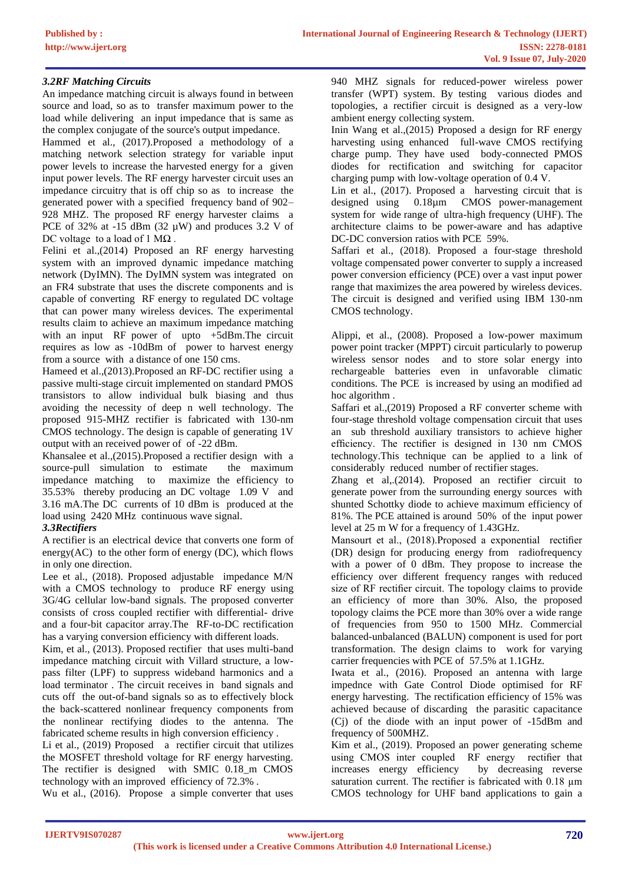### *3.2RF Matching Circuits*

An impedance matching circuit is always found in between source and load, so as to transfer maximum power to the load while delivering an input impedance that is same as the complex conjugate of the source's output impedance.

Hammed et al., (2017).Proposed a methodology of a matching network selection strategy for variable input power levels to increase the harvested energy for a given input power levels. The RF energy harvester circuit uses an impedance circuitry that is off chip so as to increase the generated power with a specified frequency band of 902– 928 MHZ. The proposed RF energy harvester claims a PCE of 32% at  $-15$  dBm (32  $\mu$ W) and produces 3.2 V of DC voltage to a load of 1  $\text{M}\Omega$ .

Felini et al.,(2014) Proposed an RF energy harvesting system with an improved dynamic impedance matching network (DyIMN). The DyIMN system was integrated on an FR4 substrate that uses the discrete components and is capable of converting RF energy to regulated DC voltage that can power many wireless devices. The experimental results claim to achieve an maximum impedance matching with an input RF power of upto +5dBm. The circuit requires as low as -10dBm of power to harvest energy from a source with a distance of one 150 cms.

Hameed et al.,(2013).Proposed an RF-DC rectifier using a passive multi-stage circuit implemented on standard PMOS transistors to allow individual bulk biasing and thus avoiding the necessity of deep n well technology. The proposed 915-MHZ rectifier is fabricated with 130-nm CMOS technology. The design is capable of generating 1V output with an received power of of -22 dBm.

Khansalee et al.,(2015).Proposed a rectifier design with a source-pull simulation to estimate the maximum impedance matching to maximize the efficiency to 35.53% thereby producing an DC voltage 1.09 V and 3.16 mA.The DC currents of 10 dBm is produced at the load using 2420 MHz continuous wave signal.

# *3.3Rectifiers*

A rectifier is an electrical device that [converts](https://en.wikipedia.org/wiki/Electric_power_conversion) one form of energy(AC) to the other form of energy (DC), which flows in only one direction.

Lee et al., (2018). Proposed adjustable impedance M/N with a CMOS technology to produce RF energy using 3G/4G cellular low-band signals. The proposed converter consists of cross coupled rectifier with differential- drive and a four-bit capacitor array.The RF-to-DC rectification has a varying conversion efficiency with different loads.

Kim, et al., (2013). Proposed rectifier that uses multi-band impedance matching circuit with Villard structure, a lowpass filter (LPF) to suppress wideband harmonics and a load terminator . The circuit receives in band signals and cuts off the out-of-band signals so as to effectively block the back-scattered nonlinear frequency components from the nonlinear rectifying diodes to the antenna. The fabricated scheme results in high conversion efficiency .

Li et al., (2019) Proposed a rectifier circuit that utilizes the MOSFET threshold voltage for RF energy harvesting. The rectifier is designed with SMIC 0.18\_m CMOS technology with an improved efficiency of 72.3% .

Wu et al., (2016). Propose a simple converter that uses

940 MHZ signals for reduced-power wireless power transfer (WPT) system. By testing various diodes and topologies, a rectifier circuit is designed as a very-low ambient energy collecting system.

Inin Wang et al.,(2015) Proposed a design for RF energy harvesting using enhanced full-wave CMOS rectifying charge pump. They have used body-connected PMOS diodes for rectification and switching for capacitor charging pump with low-voltage operation of 0.4 V.

Lin et al., (2017). Proposed a harvesting circuit that is designed using 0.18µm CMOS power-management system for wide range of ultra-high frequency (UHF). The architecture claims to be power-aware and has adaptive DC-DC conversion ratios with PCE 59%.

Saffari et al., (2018). Proposed a four-stage threshold voltage compensated power converter to supply a increased power conversion efficiency (PCE) over a vast input power range that maximizes the area powered by wireless devices. The circuit is designed and verified using IBM 130-nm CMOS technology.

Alippi, et al., (2008). Proposed a low-power maximum power point tracker (MPPT) circuit particularly to powerup wireless sensor nodes and to store solar energy into rechargeable batteries even in unfavorable climatic conditions. The PCE is increased by using an modified ad hoc algorithm .

Saffari et al.,(2019) Proposed a RF converter scheme with four-stage threshold voltage compensation circuit that uses an sub threshold auxiliary transistors to achieve higher efficiency. The rectifier is designed in 130 nm CMOS technology.This technique can be applied to a link of considerably reduced number of rectifier stages.

Zhang et al,.(2014). Proposed an rectifier circuit to generate power from the surrounding energy sources with shunted Schottky diode to achieve maximum efficiency of 81%. The PCE attained is around 50% of the input power level at 25 m W for a frequency of 1.43GHz.

Mansourt et al., (2018).Proposed a exponential rectifier (DR) design for producing energy from radiofrequency with a power of 0 dBm. They propose to increase the efficiency over different frequency ranges with reduced size of RF rectifier circuit. The topology claims to provide an efficiency of more than 30%. Also, the proposed topology claims the PCE more than 30% over a wide range of frequencies from 950 to 1500 MHz. Commercial balanced-unbalanced (BALUN) component is used for port transformation. The design claims to work for varying carrier frequencies with PCE of 57.5% at 1.1GHz.

Iwata et al., (2016). Proposed an antenna with large impednce with Gate Control Diode optimised for RF energy harvesting. The rectification efficiency of 15% was achieved because of discarding the parasitic capacitance (Cj) of the diode with an input power of -15dBm and frequency of 500MHZ.

Kim et al., (2019). Proposed an power generating scheme using CMOS inter coupled RF energy rectifier that<br>increases energy efficiency by decreasing reverse increases energy efficiency saturation current. The rectifier is fabricated with 0.18  $\mu$ m CMOS technology for UHF band applications to gain a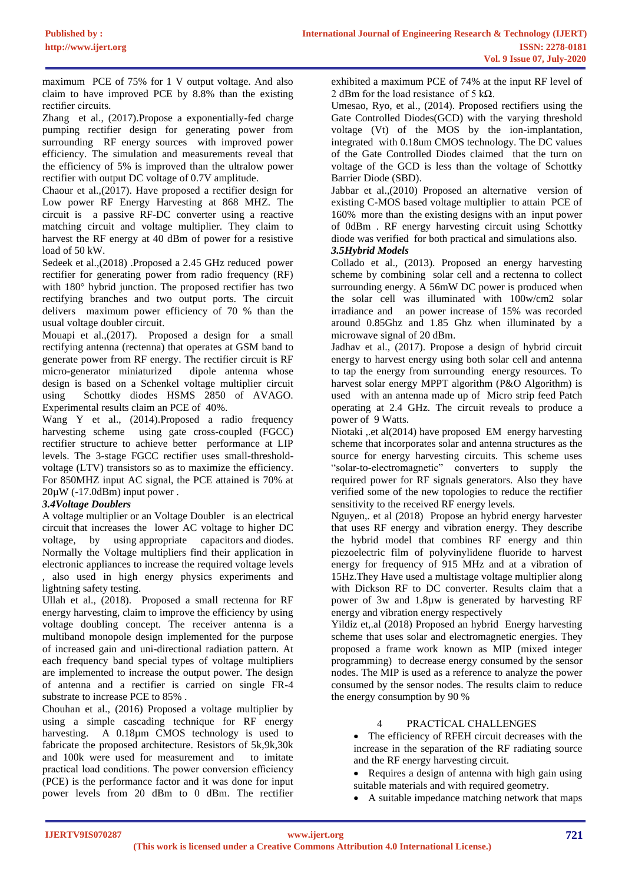maximum PCE of 75% for 1 V output voltage. And also claim to have improved PCE by 8.8% than the existing rectifier circuits.

Zhang et al., (2017).Propose a exponentially-fed charge pumping rectifier design for generating power from surrounding RF energy sources with improved power efficiency. The simulation and measurements reveal that the efficiency of 5% is improved than the ultralow power rectifier with output DC voltage of 0.7V amplitude.

Chaour et al.,(2017). Have proposed a rectifier design for Low power RF Energy Harvesting at 868 MHZ. The circuit is a passive RF-DC converter using a reactive matching circuit and voltage multiplier. They claim to harvest the RF energy at 40 dBm of power for a resistive load of 50 kW.

Sedeek et al.,(2018) .Proposed a 2.45 GHz reduced power rectifier for generating power from radio frequency (RF) with 180° hybrid junction. The proposed rectifier has two rectifying branches and two output ports. The circuit delivers maximum power efficiency of 70 % than the usual voltage doubler circuit.

Mouapi et al.,(2017). Proposed a design for a small rectifying antenna (rectenna) that operates at GSM band to generate power from RF energy. The rectifier circuit is RF micro-generator miniaturized dipole antenna whose design is based on a Schenkel voltage multiplier circuit using Schottky diodes HSMS 2850 of AVAGO. Experimental results claim an PCE of 40%.

Wang Y et al., (2014).Proposed a radio frequency harvesting scheme using gate cross-coupled (FGCC) rectifier structure to achieve better performance at LIP levels. The 3-stage FGCC rectifier uses small-thresholdvoltage (LTV) transistors so as to maximize the efficiency. For 850MHZ input AC signal, the PCE attained is 70% at  $20\mu$ W (-17.0dBm) input power.

# *3.4Voltage Doublers*

A voltage multiplier or an Voltage Doubler is an [electrical](https://en.wikipedia.org/wiki/Electrical_circuit)  [circuit](https://en.wikipedia.org/wiki/Electrical_circuit) that increases the lower AC voltage to higher DC voltage, by using appropriate [capacitors](https://en.wikipedia.org/wiki/Capacitor) and [diodes.](https://en.wikipedia.org/wiki/Diode) Normally the Voltage multipliers find their application in electronic appliances to increase the required voltage levels , also used in high energy physics experiments and lightning safety testing.

Ullah et al., (2018). Proposed a small rectenna for RF energy harvesting, claim to improve the efficiency by using voltage doubling concept. The receiver antenna is a multiband monopole design implemented for the purpose of increased gain and uni-directional radiation pattern. At each frequency band special types of voltage multipliers are implemented to increase the output power. The design of antenna and a rectifier is carried on single FR-4 substrate to increase PCE to 85% .

Chouhan et al., (2016) Proposed a voltage multiplier by using a simple cascading technique for RF energy harvesting. A 0.18<sup>um</sup> CMOS technology is used to fabricate the proposed architecture. Resistors of 5k,9k,30k and 100k were used for measurement and to imitate practical load conditions. The power conversion efficiency (PCE) is the performance factor and it was done for input power levels from 20 dBm to 0 dBm. The rectifier

exhibited a maximum PCE of 74% at the input RF level of 2 dBm for the load resistance of 5 k $\Omega$ .

Umesao, Ryo, et al., (2014). Proposed rectifiers using the Gate Controlled Diodes(GCD) with the varying threshold voltage (Vt) of the MOS by the ion-implantation, integrated with 0.18um CMOS technology. The DC values of the Gate Controlled Diodes claimed that the turn on voltage of the GCD is less than the voltage of Schottky Barrier Diode (SBD).

Jabbar et al.,(2010) Proposed an alternative version of existing C-MOS based voltage multiplier to attain PCE of 160% more than the existing designs with an input power of 0dBm . RF energy harvesting circuit using Schottky diode was verified for both practical and simulations also. *3.5Hybrid Models*

Collado et al., (2013). Proposed an energy harvesting scheme by combining solar cell and a rectenna to collect surrounding energy. A 56mW DC power is produced when the solar cell was illuminated with 100w/cm2 solar irradiance and an power increase of 15% was recorded around 0.85Ghz and 1.85 Ghz when illuminated by a microwave signal of 20 dBm.

Jadhav et al., (2017). Propose a design of hybrid circuit energy to harvest energy using both solar cell and antenna to tap the energy from surrounding energy resources. To harvest solar energy MPPT algorithm (P&O Algorithm) is used with an antenna made up of Micro strip feed Patch operating at 2.4 GHz. The circuit reveals to produce a power of 9 Watts.

Niotaki ,.et al(2014) have proposed EM energy harvesting scheme that incorporates solar and antenna structures as the source for energy harvesting circuits. This scheme uses "solar-to-electromagnetic" converters to supply the required power for RF signals generators. Also they have verified some of the new topologies to reduce the rectifier sensitivity to the received RF energy levels.

Nguyen,. et al (2018) Propose an hybrid energy harvester that uses RF energy and vibration energy. They describe the hybrid model that combines RF energy and thin piezoelectric film of polyvinylidene fluoride to harvest energy for frequency of 915 MHz and at a vibration of 15Hz.They Have used a multistage voltage multiplier along with Dickson RF to DC converter. Results claim that a power of 3w and 1.8µw is generated by harvesting RF energy and vibration energy respectively

Yildiz et,.al (2018) Proposed an hybrid Energy harvesting scheme that uses solar and electromagnetic energies. They proposed a frame work known as MIP (mixed integer programming) to decrease energy consumed by the sensor nodes. The MIP is used as a reference to analyze the power consumed by the sensor nodes. The results claim to reduce the energy consumption by 90 %

# 4 PRACTİCAL CHALLENGES

• The efficiency of RFEH circuit decreases with the increase in the separation of the RF radiating source and the RF energy harvesting circuit.

• Requires a design of antenna with high gain using suitable materials and with required geometry.

• A suitable impedance matching network that maps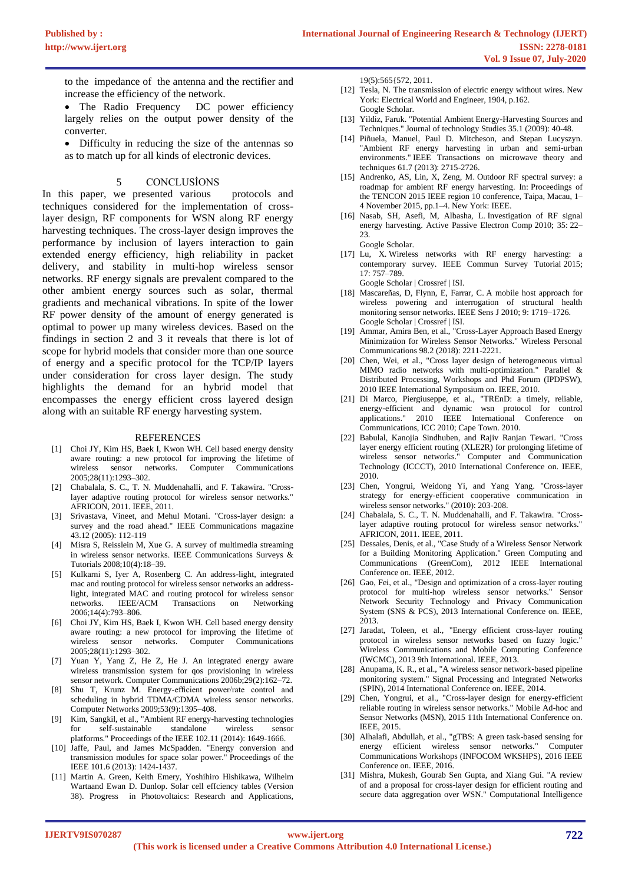to the impedance of the antenna and the rectifier and increase the efficiency of the network.

- The Radio Frequency DC power efficiency largely relies on the output power density of the converter.
- Difficulty in reducing the size of the antennas so as to match up for all kinds of electronic devices.

#### **CONCLUSIONS**

In this paper, we presented various protocols and techniques considered for the implementation of crosslayer design, RF components for WSN along RF energy harvesting techniques. The cross-layer design improves the performance by inclusion of layers interaction to gain extended energy efficiency, high reliability in packet delivery, and stability in multi-hop wireless sensor networks. RF energy signals are prevalent compared to the other ambient energy sources such as solar, thermal gradients and mechanical vibrations. In spite of the lower RF power density of the amount of energy generated is optimal to power up many wireless devices. Based on the findings in section 2 and 3 it reveals that there is lot of scope for hybrid models that consider more than one source of energy and a specific protocol for the TCP/IP layers under consideration for cross layer design. The study highlights the demand for an hybrid model that encompasses the energy efficient cross layered design along with an suitable RF energy harvesting system.

#### REFERENCES

- [1] Choi JY, Kim HS, Baek I, Kwon WH. Cell based energy density aware routing: a new protocol for improving the lifetime of wireless sensor networks. Computer Communications 2005;28(11):1293–302.
- [2] Chabalala, S. C., T. N. Muddenahalli, and F. Takawira. "Crosslayer adaptive routing protocol for wireless sensor networks." AFRICON, 2011. IEEE, 2011.
- [3] Srivastava, Vineet, and Mehul Motani. "Cross-layer design: a survey and the road ahead." IEEE Communications magazine 43.12 (2005): 112-119
- [4] Misra S, Reisslein M, Xue G. A survey of multimedia streaming in wireless sensor networks. IEEE Communications Surveys & Tutorials 2008;10(4):18–39.
- [5] Kulkarni S, Iyer A, Rosenberg C. An address-light, integrated mac and routing protocol for wireless sensor networks an addresslight, integrated MAC and routing protocol for wireless sensor networks. IEEE/ACM Transactions on Networking 2006;14(4):793–806.
- [6] Choi JY, Kim HS, Baek I, Kwon WH. Cell based energy density aware routing: a new protocol for improving the lifetime of wireless sensor networks. Computer Communications 2005;28(11):1293–302.
- [7] Yuan Y, Yang Z, He Z, He J. An integrated energy aware wireless transmission system for qos provisioning in wireless sensor network. Computer Communications 2006b;29(2):162–72.
- [8] Shu T, Krunz M. Energy-efficient power/rate control and scheduling in hybrid TDMA/CDMA wireless sensor networks. Computer Networks 2009;53(9):1395–408.
- [9] Kim, Sangkil, et al., "Ambient RF energy-harvesting technologies for self-sustainable standalone wireless sensor platforms." Proceedings of the IEEE 102.11 (2014): 1649-1666.
- [10] Jaffe, Paul, and James McSpadden. "Energy conversion and transmission modules for space solar power." Proceedings of the IEEE 101.6 (2013): 1424-1437.
- [11] Martin A. Green, Keith Emery, Yoshihiro Hishikawa, Wilhelm Wartaand Ewan D. Dunlop. Solar cell effciency tables (Version 38). Progress in Photovoltaics: Research and Applications,

19(5):565{572, 2011.

- [12] Tesla, N. The transmission of electric energy without wires. New York: Electrical World and Engineer, 1904, p.162. [Google Scholar.](http://scholar.google.com/scholar_lookup?hl=en&publication_year=1904&pages=162&author=N.+Tesla&title=The+transmission+of+electric+energy+without+wires)
- [13] Yildiz, Faruk. "Potential Ambient Energy-Harvesting Sources and Techniques." Journal of technology Studies 35.1 (2009): 40-48.
- [14] Piñuela, Manuel, Paul D. Mitcheson, and Stepan Lucyszyn. "Ambient RF energy harvesting in urban and semi-urban environments." IEEE Transactions on microwave theory and techniques 61.7 (2013): 2715-2726.
- [15] Andrenko, AS, Lin, X, Zeng, M. Outdoor RF spectral survey: a roadmap for ambient RF energy harvesting. In: Proceedings of the TENCON 2015 IEEE region 10 conference, Taipa, Macau, 1– 4 November 2015, pp.1–4. New York: IEEE.
- [16] Nasab, SH, Asefi, M, Albasha, L. Investigation of RF signal energy harvesting. Active Passive Electron Comp 2010; 35: 22– 23. [Google Scholar.](http://scholar.google.com/scholar_lookup?hl=en&publication_year=2010&pages=22-23&author=SH+Nasab&author=M+Asefi&author=L+Albasha&title=Investigation+of+RF+signal+energy+harvesting)
- [17] Lu, X. Wireless networks with RF energy harvesting: a contemporary survey. IEEE Commun Survey Tutorial 2015; 17: 757–789.
	- [Google Scholar](http://scholar.google.com/scholar_lookup?hl=en&publication_year=2015&pages=757-789&author=X.+Lu&title=Wireless+networks+with+RF+energy+harvesting%3A+a+contemporary+survey) | [Crossref](https://journals.sagepub.com/servlet/linkout?suffix=bibr60-1687814017696210&dbid=16&doi=10.1177%2F1687814017696210&key=10.1109%2FCOMST.2014.2368999) | [ISI.](https://journals.sagepub.com/servlet/linkout?suffix=bibr60-1687814017696210&dbid=128&doi=10.1177%2F1687814017696210&key=000354860000011)
- [18] Mascareñas, D, Flynn, E, Farrar, C. A mobile host approach for wireless powering and interrogation of structural health monitoring sensor networks. IEEE Sens J 2010; 9: 1719–1726. [Google Scholar](http://scholar.google.com/scholar_lookup?hl=en&publication_year=2010&pages=1719-1726&author=D+Mascare%C3%B1as&author=E+Flynn&author=C+Farrar&title=A+mobile+host+approach+for+wireless+powering+and+interrogation+of+structural+health+monitoring+sensor+networks) | [Crossref](https://journals.sagepub.com/servlet/linkout?suffix=bibr61-1687814017696210&dbid=16&doi=10.1177%2F1687814017696210&key=10.1109%2FJSEN.2009.2030706) | [ISI.](https://journals.sagepub.com/servlet/linkout?suffix=bibr61-1687814017696210&dbid=128&doi=10.1177%2F1687814017696210&key=000271020700015)
- [19] Ammar, Amira Ben, et al., "Cross-Layer Approach Based Energy Minimization for Wireless Sensor Networks." Wireless Personal Communications 98.2 (2018): 2211-2221.
- [20] Chen, Wei, et al., "Cross layer design of heterogeneous virtual MIMO radio networks with multi-optimization." Parallel & Distributed Processing, Workshops and Phd Forum (IPDPSW), 2010 IEEE International Symposium on. IEEE, 2010.
- [21] Di Marco, Piergiuseppe, et al., "TREnD: a timely, reliable, energy-efficient and dynamic wsn protocol for control applications." 2010 IEEE International Conference on Communications, ICC 2010; Cape Town. 2010.
- [22] Babulal, Kanojia Sindhuben, and Rajiv Ranjan Tewari. "Cross layer energy efficient routing (XLE2R) for prolonging lifetime of wireless sensor networks." Computer and Communication Technology (ICCCT), 2010 International Conference on. IEEE, 2010.
- [23] Chen, Yongrui, Weidong Yi, and Yang Yang. "Cross-layer strategy for energy-efficient cooperative communication in wireless sensor networks." (2010): 203-208.
- [24] Chabalala, S. C., T. N. Muddenahalli, and F. Takawira. "Crosslayer adaptive routing protocol for wireless sensor networks." AFRICON, 2011. IEEE, 2011.
- [25] Dessales, Denis, et al., "Case Study of a Wireless Sensor Network for a Building Monitoring Application." Green Computing and Communications (GreenCom), 2012 IEEE International Conference on. IEEE, 2012.
- [26] Gao, Fei, et al., "Design and optimization of a cross-layer routing protocol for multi-hop wireless sensor networks." Sensor Network Security Technology and Privacy Communication System (SNS & PCS), 2013 International Conference on. IEEE, 2013.
- [27] Jaradat, Toleen, et al., "Energy efficient cross-layer routing protocol in wireless sensor networks based on fuzzy logic. Wireless Communications and Mobile Computing Conference (IWCMC), 2013 9th International. IEEE, 2013.
- [28] Anupama, K. R., et al., "A wireless sensor network-based pipeline monitoring system." Signal Processing and Integrated Networks (SPIN), 2014 International Conference on. IEEE, 2014.
- [29] Chen, Yongrui, et al., "Cross-layer design for energy-efficient reliable routing in wireless sensor networks." Mobile Ad-hoc and Sensor Networks (MSN), 2015 11th International Conference on. IEEE, 2015.
- [30] Alhalafi, Abdullah, et al., "gTBS: A green task-based sensing for energy efficient wireless sensor networks." Computer Communications Workshops (INFOCOM WKSHPS), 2016 IEEE Conference on. IEEE, 2016.
- [31] Mishra, Mukesh, Gourab Sen Gupta, and Xiang Gui. "A review of and a proposal for cross-layer design for efficient routing and secure data aggregation over WSN." Computational Intelligence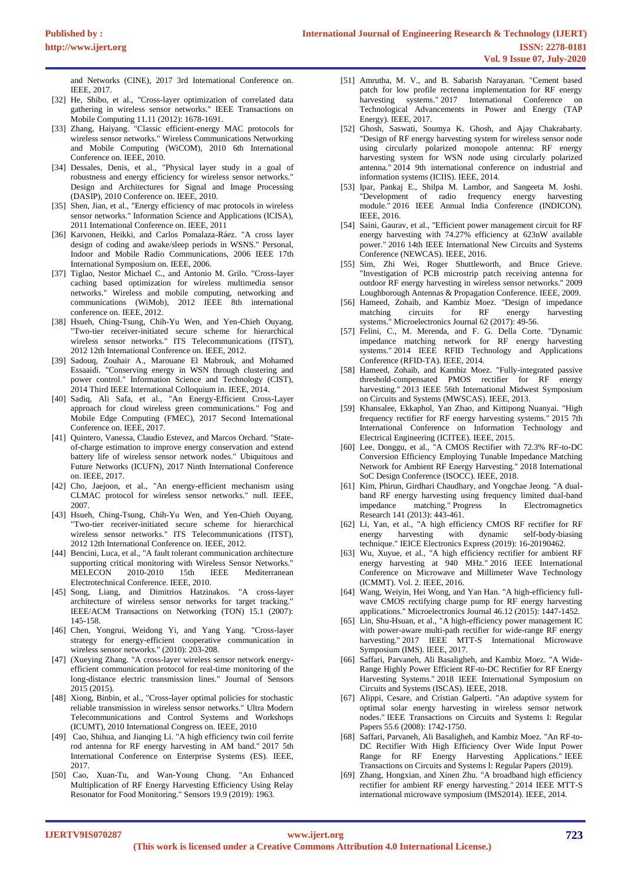and Networks (CINE), 2017 3rd International Conference on. IEEE, 2017.

- [32] He, Shibo, et al., "Cross-layer optimization of correlated data gathering in wireless sensor networks." IEEE Transactions on Mobile Computing 11.11 (2012): 1678-1691.
- [33] Zhang, Haiyang. "Classic efficient-energy MAC protocols for wireless sensor networks." Wireless Communications Networking and Mobile Computing (WiCOM), 2010 6th International Conference on. IEEE, 2010.
- [34] Dessales, Denis, et al., "Physical layer study in a goal of robustness and energy efficiency for wireless sensor networks." Design and Architectures for Signal and Image Processing (DASIP), 2010 Conference on. IEEE, 2010.
- [35] Shen, Jian, et al., "Energy efficiency of mac protocols in wireless sensor networks." Information Science and Applications (ICISA), 2011 International Conference on. IEEE, 2011
- [36] Karvonen, Heikki, and Carlos Pomalaza-Ráez. "A cross layer design of coding and awake/sleep periods in WSNS." Personal, Indoor and Mobile Radio Communications, 2006 IEEE 17th International Symposium on. IEEE, 2006.
- [37] Tiglao, Nestor Michael C., and Antonio M. Grilo. "Cross-layer caching based optimization for wireless multimedia sensor networks." Wireless and mobile computing, networking and communications (WiMob), 2012 IEEE 8th international conference on. IEEE, 2012.
- [38] Hsueh, Ching-Tsung, Chih-Yu Wen, and Yen-Chieh Ouyang. "Two-tier receiver-initiated secure scheme for hierarchical wireless sensor networks." ITS Telecommunications (ITST), 2012 12th International Conference on. IEEE, 2012.
- [39] Sadouq, Zouhair A., Marouane El Mabrouk, and Mohamed Essaaidi. "Conserving energy in WSN through clustering and power control." Information Science and Technology (CIST), 2014 Third IEEE International Colloquium in. IEEE, 2014.
- [40] Sadiq, Ali Safa, et al., "An Energy-Efficient Cross-Layer approach for cloud wireless green communications." Fog and Mobile Edge Computing (FMEC), 2017 Second International Conference on. IEEE, 2017.
- [41] Quintero, Vanessa, Claudio Estevez, and Marcos Orchard. "Stateof-charge estimation to improve energy conservation and extend battery life of wireless sensor network nodes." Ubiquitous and Future Networks (ICUFN), 2017 Ninth International Conference on. IEEE, 2017.
- [42] Cho, Jaejoon, et al., "An energy-efficient mechanism using CLMAC protocol for wireless sensor networks." null. IEEE, 2007.
- [43] Hsueh, Ching-Tsung, Chih-Yu Wen, and Yen-Chieh Ouyang. "Two-tier receiver-initiated secure scheme for hierarchical wireless sensor networks." ITS Telecommunications (ITST), 2012 12th International Conference on. IEEE, 2012.
- [44] Bencini, Luca, et al., "A fault tolerant communication architecture supporting critical monitoring with Wireless Sensor Networks." MELECON 2010-2010 15th IEEE Mediterranean Electrotechnical Conference. IEEE, 2010.
- [45] Song, Liang, and Dimitrios Hatzinakos. "A cross-layer architecture of wireless sensor networks for target tracking." IEEE/ACM Transactions on Networking (TON) 15.1 (2007): 145-158.
- [46] Chen, Yongrui, Weidong Yi, and Yang Yang. "Cross-layer strategy for energy-efficient cooperative communication in wireless sensor networks." (2010): 203-208.
- [47] (Xueying Zhang. "A cross-layer wireless sensor network energyefficient communication protocol for real-time monitoring of the long-distance electric transmission lines." Journal of Sensors 2015 (2015).
- [48] Xiong, Binbin, et al., "Cross-layer optimal policies for stochastic reliable transmission in wireless sensor networks." Ultra Modern Telecommunications and Control Systems and Workshops (ICUMT), 2010 International Congress on. IEEE, 2010
- [49] Cao, Shihua, and Jianqing Li. "A high efficiency twin coil ferrite rod antenna for RF energy harvesting in AM band." 2017 5th International Conference on Enterprise Systems (ES). IEEE, 2017.
- [50] Cao, Xuan-Tu, and Wan-Young Chung. "An Enhanced Multiplication of RF Energy Harvesting Efficiency Using Relay Resonator for Food Monitoring." Sensors 19.9 (2019): 1963.
- [51] Amrutha, M. V., and B. Sabarish Narayanan. "Cement based patch for low profile rectenna implementation for RF energy harvesting systems." 2017 International Conference on Technological Advancements in Power and Energy (TAP Energy). IEEE, 2017.
- [52] Ghosh, Saswati, Soumya K. Ghosh, and Ajay Chakrabarty. "Design of RF energy harvesting system for wireless sensor node using circularly polarized monopole antenna: RF energy harvesting system for WSN node using circularly polarized antenna." 2014 9th international conference on industrial and information systems (ICIIS). IEEE, 2014.
- [53] Ipar, Pankaj E., Shilpa M. Lambor, and Sangeeta M. Joshi. "Development of radio frequency energy module." 2016 IEEE Annual India Conference (INDICON). IEEE, 2016.
- [54] Saini, Gaurav, et al., "Efficient power management circuit for RF energy harvesting with 74.27% efficiency at 623nW available power." 2016 14th IEEE International New Circuits and Systems Conference (NEWCAS). IEEE, 2016.
- [55] Sim, Zhi Wei, Roger Shuttleworth, and Bruce Grieve. "Investigation of PCB microstrip patch receiving antenna for outdoor RF energy harvesting in wireless sensor networks." 2009 Loughborough Antennas & Propagation Conference. IEEE, 2009.
- [56] Hameed, Zohaib, and Kambiz Moez. "Design of impedance matching circuits for RF energy harvesting systems." Microelectronics Journal 62 (2017): 49-56.
- [57] Felini, C., M. Merenda, and F. G. Della Corte. "Dynamic impedance matching network for RF energy harvesting systems." 2014 IEEE RFID Technology and Applications Conference (RFID-TA). IEEE, 2014.
- [58] Hameed, Zohaib, and Kambiz Moez. "Fully-integrated passive threshold-compensated PMOS rectifier for RF energy harvesting." 2013 IEEE 56th International Midwest Symposium on Circuits and Systems (MWSCAS). IEEE, 2013.
- [59] Khansalee, Ekkaphol, Yan Zhao, and Kittipong Nuanyai. "High frequency rectifier for RF energy harvesting systems." 2015 7th International Conference on Information Technology and Electrical Engineering (ICITEE). IEEE, 2015.
- [60] Lee, Donggu, et al., "A CMOS Rectifier with 72.3% RF-to-DC Conversion Efficiency Employing Tunable Impedance Matching Network for Ambient RF Energy Harvesting." 2018 International SoC Design Conference (ISOCC). IEEE, 2018.
- [61] Kim, Phirun, Girdhari Chaudhary, and Yongchae Jeong. "A dualband RF energy harvesting using frequency limited dual-band impedance matching." Progress In Electromagnetics Research 141 (2013): 443-461.
- [62] Li, Yan, et al., "A high efficiency CMOS RF rectifier for RF energy harvesting with dynamic self-body-biasing technique." IEICE Electronics Express (2019): 16-20190462.
- [63] Wu, Xuyue, et al., "A high efficiency rectifier for ambient RF energy harvesting at  $940$  MHz." 2016 IEEE International Conference on Microwave and Millimeter Wave Technology (ICMMT). Vol. 2. IEEE, 2016.
- [64] Wang, Weiyin, Hei Wong, and Yan Han. "A high-efficiency fullwave CMOS rectifying charge pump for RF energy harvesting applications." Microelectronics Journal 46.12 (2015): 1447-1452.
- [65] Lin, Shu-Hsuan, et al., "A high-efficiency power management IC with power-aware multi-path rectifier for wide-range RF energy harvesting." 2017 IEEE MTT-S International Microwave Symposium (IMS). IEEE, 2017.
- [66] Saffari, Parvaneh, Ali Basaligheh, and Kambiz Moez. "A Wide-Range Highly Power Efficient RF-to-DC Rectifier for RF Energy Harvesting Systems." 2018 IEEE International Symposium on Circuits and Systems (ISCAS). IEEE, 2018.
- [67] Alippi, Cesare, and Cristian Galperti. "An adaptive system for optimal solar energy harvesting in wireless sensor network nodes." IEEE Transactions on Circuits and Systems I: Regular Papers 55.6 (2008): 1742-1750.
- [68] Saffari, Parvaneh, Ali Basaligheh, and Kambiz Moez. "An RF-to-DC Rectifier With High Efficiency Over Wide Input Power Range for RF Energy Harvesting Applications." IEEE Transactions on Circuits and Systems I: Regular Papers (2019).
- [69] Zhang, Hongxian, and Xinen Zhu. "A broadband high efficiency rectifier for ambient RF energy harvesting." 2014 IEEE MTT-S international microwave symposium (IMS2014). IEEE, 2014.